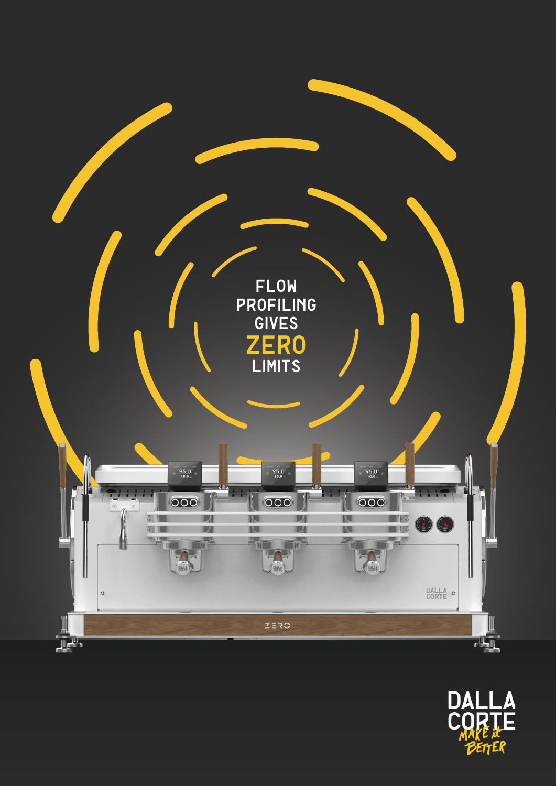